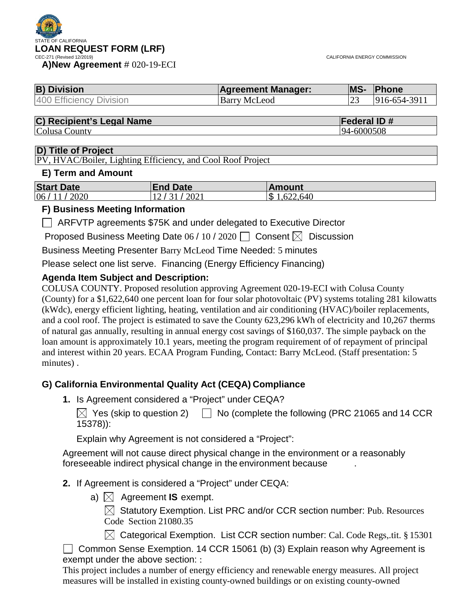

| <b>B) Division</b>      | <b>Agreement Manager:</b> | <b>IMS-</b> | <b>Phone</b> |
|-------------------------|---------------------------|-------------|--------------|
| 400 Efficiency Division | Barry McLeod              | ت ک         | 916-654-3911 |

# **C) Recipient's Legal Name Federal ID #**

Colusa County

#### **D) Title of Project**

PV, HVAC/Boiler, Lighting Efficiency, and Cool Roof Project

#### **E) Term and Amount**

| <b>Start Date</b> | <b>End Date</b>           | <b>Amount</b>             |
|-------------------|---------------------------|---------------------------|
| 06/11/2020        | $\frac{1}{2021}$<br>12/31 | $\mathcal{S}$<br>.622,640 |

#### **F) Business Meeting Information**

ARFVTP agreements \$75K and under delegated to Executive Director

Proposed Business Meeting Date  $06/10/2020$  Consent  $\boxtimes$  Discussion

Business Meeting Presenter Barry McLeod Time Needed: 5 minutes

Please select one list serve. Financing (Energy Efficiency Financing)

## **Agenda Item Subject and Description:**

COLUSA COUNTY. Proposed resolution approving Agreement 020-19-ECI with Colusa County (County) for a \$1,622,640 one percent loan for four solar photovoltaic (PV) systems totaling 281 kilowatts (kWdc), energy efficient lighting, heating, ventilation and air conditioning (HVAC)/boiler replacements, and a cool roof. The project is estimated to save the County 623,296 kWh of electricity and 10,267 therms of natural gas annually, resulting in annual energy cost savings of \$160,037. The simple payback on the loan amount is approximately 10.1 years, meeting the program requirement of of repayment of principal and interest within 20 years. ECAA Program Funding, Contact: Barry McLeod. (Staff presentation: 5 minutes) .

## **G) California Environmental Quality Act (CEQA) Compliance**

**1.** Is Agreement considered a "Project" under CEQA?

 $\boxtimes$  Yes (skip to question 2)  $\Box$  No (complete the following (PRC 21065 and 14 CCR 15378)):

Explain why Agreement is not considered a "Project":

Agreement will not cause direct physical change in the environment or a reasonably foreseeable indirect physical change in the environment because .

#### **2.** If Agreement is considered a "Project" under CEQA:

a)  $\boxtimes$  Agreement **IS** exempt.

 $\boxtimes$  Statutory Exemption. List PRC and/or CCR section number: Pub. Resources Code Section 21080.35

 $\boxtimes$  Categorical Exemption. List CCR section number: Cal. Code Regs, tit. § 15301

 $\Box$  Common Sense Exemption. 14 CCR 15061 (b) (3) Explain reason why Agreement is exempt under the above section: :

This project includes a number of energy efficiency and renewable energy measures. All project measures will be installed in existing county-owned buildings or on existing county-owned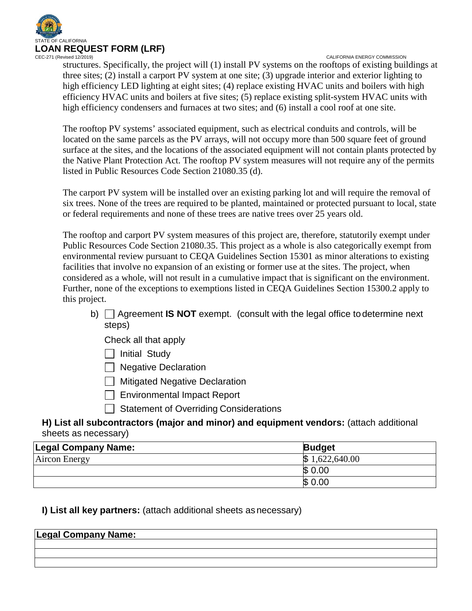

CALIFORNIA ENERGY COMMISSION structures. Specifically, the project will (1) install PV systems on the rooftops of existing buildings at three sites; (2) install a carport PV system at one site; (3) upgrade interior and exterior lighting to high efficiency LED lighting at eight sites; (4) replace existing HVAC units and boilers with high efficiency HVAC units and boilers at five sites; (5) replace existing split-system HVAC units with high efficiency condensers and furnaces at two sites; and (6) install a cool roof at one site.

The rooftop PV systems' associated equipment, such as electrical conduits and controls, will be located on the same parcels as the PV arrays, will not occupy more than 500 square feet of ground surface at the sites, and the locations of the associated equipment will not contain plants protected by the Native Plant Protection Act. The rooftop PV system measures will not require any of the permits listed in Public Resources Code Section 21080.35 (d).

The carport PV system will be installed over an existing parking lot and will require the removal of six trees. None of the trees are required to be planted, maintained or protected pursuant to local, state or federal requirements and none of these trees are native trees over 25 years old.

The rooftop and carport PV system measures of this project are, therefore, statutorily exempt under Public Resources Code Section 21080.35. This project as a whole is also categorically exempt from environmental review pursuant to CEQA Guidelines Section 15301 as minor alterations to existing facilities that involve no expansion of an existing or former use at the sites. The project, when considered as a whole, will not result in a cumulative impact that is significant on the environment. Further, none of the exceptions to exemptions listed in CEQA Guidelines Section 15300.2 apply to this project.

b) Agreement **IS NOT** exempt. (consult with the legal office todetermine next steps)

Check all that apply

 $\Box$  Initial Study

 $\Box$  Negative Declaration

**Mitigated Negative Declaration** 

□ Environmental Impact Report

 $\Box$  Statement of Overriding Considerations

**H) List all subcontractors (major and minor) and equipment vendors:** (attach additional sheets as necessary)

| Legal Company Name:  | <b>Budget</b>      |
|----------------------|--------------------|
| <b>Aircon Energy</b> | 1,622,640.00<br>ß. |
|                      | \$0.00             |
|                      | \$0.00             |

## **I) List all key partners:** (attach additional sheets as necessary)

| <b>Legal Company Name:</b> |  |
|----------------------------|--|
|                            |  |
|                            |  |
|                            |  |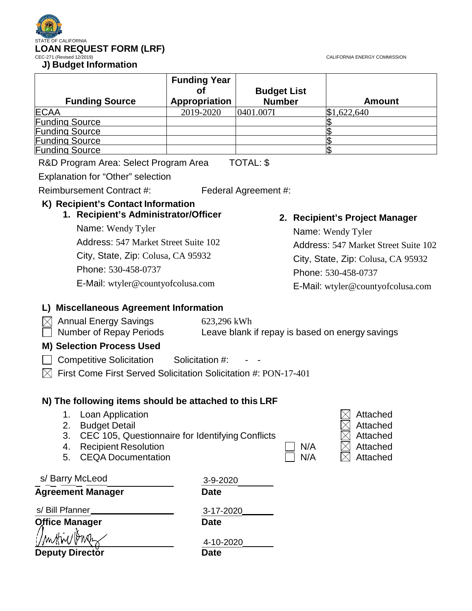CALIFORNIA ENERGY COMMISSION



|                                       | <b>Funding Year</b><br>Οt | <b>Budget List</b>   |                                      |  |  |
|---------------------------------------|---------------------------|----------------------|--------------------------------------|--|--|
| <b>Funding Source</b>                 | <b>Appropriation</b>      | <b>Number</b>        | <b>Amount</b>                        |  |  |
| <b>ECAA</b>                           | 2019-2020                 | 0401.007I            | \$1,622,640                          |  |  |
| <b>Funding Source</b>                 |                           |                      |                                      |  |  |
| <b>Funding Source</b>                 |                           |                      |                                      |  |  |
| <b>Funding Source</b>                 |                           |                      |                                      |  |  |
| <b>Funding Source</b>                 |                           |                      |                                      |  |  |
| R&D Program Area: Select Program Area |                           | TOTAL: \$            |                                      |  |  |
| Explanation for "Other" selection     |                           |                      |                                      |  |  |
| Reimbursement Contract #:             |                           | Federal Agreement #: |                                      |  |  |
| K) Recipient's Contact Information    |                           |                      |                                      |  |  |
| 1. Recipient's Administrator/Officer  |                           |                      | 2. Recipient's Project Manager       |  |  |
| Name: Wendy Tyler                     |                           |                      | Name: Wendy Tyler                    |  |  |
| Address: 547 Market Street Suite 102  |                           |                      | Address: 547 Market Street Suite 102 |  |  |
| City, State, Zip: Colusa, CA 95932    |                           |                      | City, State, Zip: Colusa, CA 95932   |  |  |
| Phone: 530-458-0737                   |                           |                      | $Dh$ <sub>000</sub> $520.458.0727$   |  |  |

E-Mail: [wtyler@countyofcolusa.com](mailto:wtyler@countyofcolusa.com)

Phone: 530-458-0737 E-Mail: [wtyler@countyofcolusa.com](mailto:wtyler@countyofcolusa.com)

# **L) Miscellaneous Agreement Information**

| $\times\hspace{-3pt}\parallel$ Annual Energy Savings | 623,296 kWh                                     |
|------------------------------------------------------|-------------------------------------------------|
| Number of Repay Periods                              | Leave blank if repay is based on energy savings |

## **M) Selection Process Used**

□ Competitive Solicitation Solicitation #: - -

 $\boxtimes$  First Come First Served Solicitation Solicitation #: PON-17-401

# **N) The following items should be attached to this LRF**

|  | Loan Application |  | $\boxtimes$ Attached |
|--|------------------|--|----------------------|
|--|------------------|--|----------------------|

- 2. Budget Detail
- 3. CEC 105, Questionnaire for Identifying Conflicts
- 4. Recipient Resolution
- 5. CEQA Documentation  $\Box$  N/

| N/A |
|-----|
|     |

| Attached |
|----------|
| Attached |
| Attached |
| Attached |
| Attached |

| s/ Barry McLeod          | 3-9-2020    |  |  |
|--------------------------|-------------|--|--|
| <b>Agreement Manager</b> | <b>Date</b> |  |  |
| s/ Bill Pfanner          | 3-17-2020   |  |  |
| <b>Office Manager</b>    | <b>Date</b> |  |  |
|                          | 4-10-2020   |  |  |
| Deputy Director          | Date        |  |  |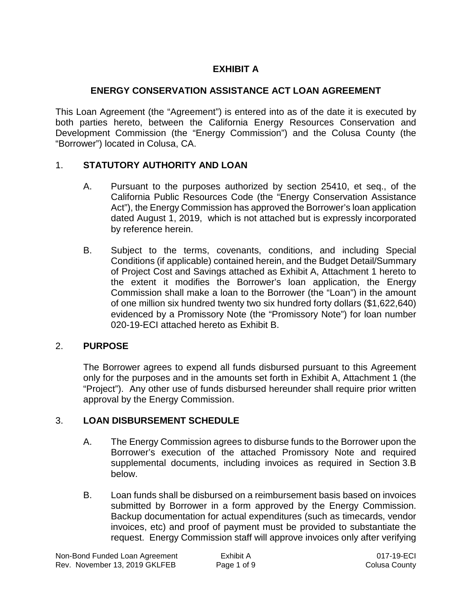# **EXHIBIT A**

# **ENERGY CONSERVATION ASSISTANCE ACT LOAN AGREEMENT**

This Loan Agreement (the "Agreement") is entered into as of the date it is executed by both parties hereto, between the California Energy Resources Conservation and Development Commission (the "Energy Commission") and the Colusa County (the "Borrower") located in Colusa, CA.

# 1. **STATUTORY AUTHORITY AND LOAN**

- A. Pursuant to the purposes authorized by section 25410, et seq., of the California Public Resources Code (the "Energy Conservation Assistance Act"), the Energy Commission has approved the Borrower's loan application dated August 1, 2019, which is not attached but is expressly incorporated by reference herein.
- B. Subject to the terms, covenants, conditions, and including Special Conditions (if applicable) contained herein, and the Budget Detail/Summary of Project Cost and Savings attached as Exhibit A, Attachment 1 hereto to the extent it modifies the Borrower's loan application, the Energy Commission shall make a loan to the Borrower (the "Loan") in the amount of one million six hundred twenty two six hundred forty dollars (\$1,622,640) evidenced by a Promissory Note (the "Promissory Note") for loan number 020-19-ECI attached hereto as Exhibit B.

# 2. **PURPOSE**

The Borrower agrees to expend all funds disbursed pursuant to this Agreement only for the purposes and in the amounts set forth in Exhibit A, Attachment 1 (the "Project"). Any other use of funds disbursed hereunder shall require prior written approval by the Energy Commission.

# 3. **LOAN DISBURSEMENT SCHEDULE**

- A. The Energy Commission agrees to disburse funds to the Borrower upon the Borrower's execution of the attached Promissory Note and required supplemental documents, including invoices as required in Section 3.B below.
- B. Loan funds shall be disbursed on a reimbursement basis based on invoices submitted by Borrower in a form approved by the Energy Commission. Backup documentation for actual expenditures (such as timecards, vendor invoices, etc) and proof of payment must be provided to substantiate the request. Energy Commission staff will approve invoices only after verifying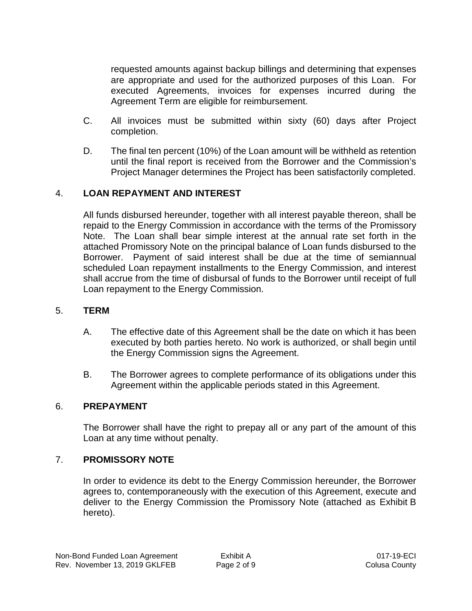requested amounts against backup billings and determining that expenses are appropriate and used for the authorized purposes of this Loan. For executed Agreements, invoices for expenses incurred during the Agreement Term are eligible for reimbursement.

- C. All invoices must be submitted within sixty (60) days after Project completion.
- D. The final ten percent (10%) of the Loan amount will be withheld as retention until the final report is received from the Borrower and the Commission's Project Manager determines the Project has been satisfactorily completed.

## 4. **LOAN REPAYMENT AND INTEREST**

All funds disbursed hereunder, together with all interest payable thereon, shall be repaid to the Energy Commission in accordance with the terms of the Promissory Note. The Loan shall bear simple interest at the annual rate set forth in the attached Promissory Note on the principal balance of Loan funds disbursed to the Borrower. Payment of said interest shall be due at the time of semiannual scheduled Loan repayment installments to the Energy Commission, and interest shall accrue from the time of disbursal of funds to the Borrower until receipt of full Loan repayment to the Energy Commission.

#### 5. **TERM**

- A. The effective date of this Agreement shall be the date on which it has been executed by both parties hereto. No work is authorized, or shall begin until the Energy Commission signs the Agreement.
- B. The Borrower agrees to complete performance of its obligations under this Agreement within the applicable periods stated in this Agreement.

#### 6. **PREPAYMENT**

The Borrower shall have the right to prepay all or any part of the amount of this Loan at any time without penalty.

#### 7. **PROMISSORY NOTE**

In order to evidence its debt to the Energy Commission hereunder, the Borrower agrees to, contemporaneously with the execution of this Agreement, execute and deliver to the Energy Commission the Promissory Note (attached as Exhibit B hereto).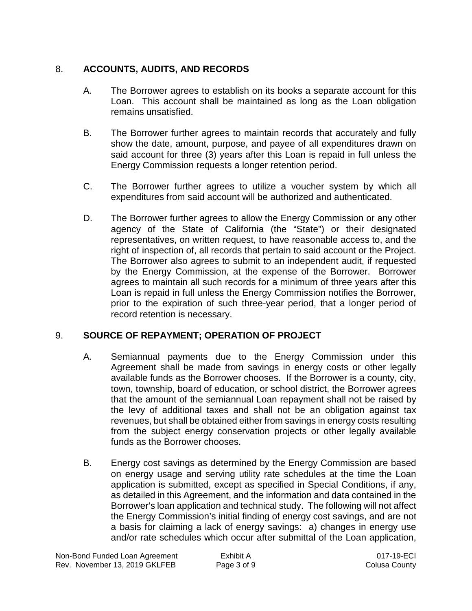# 8. **ACCOUNTS, AUDITS, AND RECORDS**

- A. The Borrower agrees to establish on its books a separate account for this Loan. This account shall be maintained as long as the Loan obligation remains unsatisfied.
- B. The Borrower further agrees to maintain records that accurately and fully show the date, amount, purpose, and payee of all expenditures drawn on said account for three (3) years after this Loan is repaid in full unless the Energy Commission requests a longer retention period.
- C. The Borrower further agrees to utilize a voucher system by which all expenditures from said account will be authorized and authenticated.
- D. The Borrower further agrees to allow the Energy Commission or any other agency of the State of California (the "State") or their designated representatives, on written request, to have reasonable access to, and the right of inspection of, all records that pertain to said account or the Project. The Borrower also agrees to submit to an independent audit, if requested by the Energy Commission, at the expense of the Borrower. Borrower agrees to maintain all such records for a minimum of three years after this Loan is repaid in full unless the Energy Commission notifies the Borrower, prior to the expiration of such three-year period, that a longer period of record retention is necessary.

## 9. **SOURCE OF REPAYMENT; OPERATION OF PROJECT**

- A. Semiannual payments due to the Energy Commission under this Agreement shall be made from savings in energy costs or other legally available funds as the Borrower chooses. If the Borrower is a county, city, town, township, board of education, or school district, the Borrower agrees that the amount of the semiannual Loan repayment shall not be raised by the levy of additional taxes and shall not be an obligation against tax revenues, but shall be obtained either from savings in energy costs resulting from the subject energy conservation projects or other legally available funds as the Borrower chooses.
- B. Energy cost savings as determined by the Energy Commission are based on energy usage and serving utility rate schedules at the time the Loan application is submitted, except as specified in Special Conditions, if any, as detailed in this Agreement, and the information and data contained in the Borrower's loan application and technical study. The following will not affect the Energy Commission's initial finding of energy cost savings, and are not a basis for claiming a lack of energy savings: a) changes in energy use and/or rate schedules which occur after submittal of the Loan application,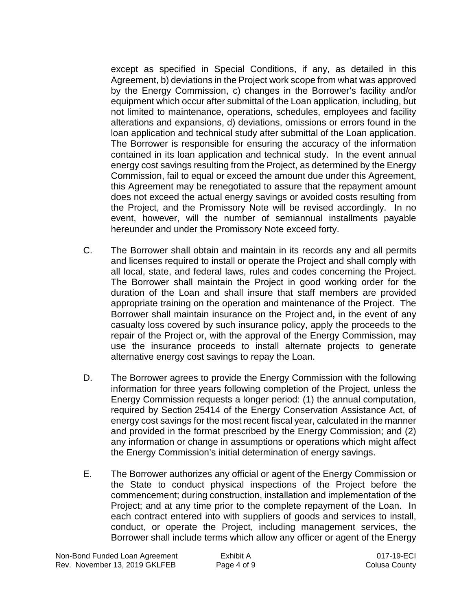except as specified in Special Conditions, if any, as detailed in this Agreement, b) deviations in the Project work scope from what was approved by the Energy Commission, c) changes in the Borrower's facility and/or equipment which occur after submittal of the Loan application, including, but not limited to maintenance, operations, schedules, employees and facility alterations and expansions, d) deviations, omissions or errors found in the loan application and technical study after submittal of the Loan application. The Borrower is responsible for ensuring the accuracy of the information contained in its loan application and technical study. In the event annual energy cost savings resulting from the Project, as determined by the Energy Commission, fail to equal or exceed the amount due under this Agreement, this Agreement may be renegotiated to assure that the repayment amount does not exceed the actual energy savings or avoided costs resulting from the Project, and the Promissory Note will be revised accordingly. In no event, however, will the number of semiannual installments payable hereunder and under the Promissory Note exceed forty.

- C. The Borrower shall obtain and maintain in its records any and all permits and licenses required to install or operate the Project and shall comply with all local, state, and federal laws, rules and codes concerning the Project. The Borrower shall maintain the Project in good working order for the duration of the Loan and shall insure that staff members are provided appropriate training on the operation and maintenance of the Project. The Borrower shall maintain insurance on the Project and**,** in the event of any casualty loss covered by such insurance policy, apply the proceeds to the repair of the Project or, with the approval of the Energy Commission, may use the insurance proceeds to install alternate projects to generate alternative energy cost savings to repay the Loan.
- D. The Borrower agrees to provide the Energy Commission with the following information for three years following completion of the Project, unless the Energy Commission requests a longer period: (1) the annual computation, required by Section 25414 of the Energy Conservation Assistance Act, of energy cost savings for the most recent fiscal year, calculated in the manner and provided in the format prescribed by the Energy Commission; and (2) any information or change in assumptions or operations which might affect the Energy Commission's initial determination of energy savings.
- E. The Borrower authorizes any official or agent of the Energy Commission or the State to conduct physical inspections of the Project before the commencement; during construction, installation and implementation of the Project; and at any time prior to the complete repayment of the Loan. In each contract entered into with suppliers of goods and services to install, conduct, or operate the Project, including management services, the Borrower shall include terms which allow any officer or agent of the Energy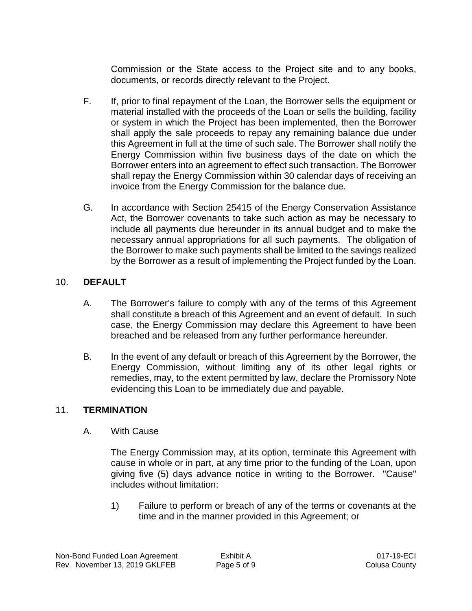Commission or the State access to the Project site and to any books, documents, or records directly relevant to the Project.

- F. If, prior to final repayment of the Loan, the Borrower sells the equipment or material installed with the proceeds of the Loan or sells the building, facility or system in which the Project has been implemented, then the Borrower shall apply the sale proceeds to repay any remaining balance due under this Agreement in full at the time of such sale. The Borrower shall notify the Energy Commission within five business days of the date on which the Borrower enters into an agreement to effect such transaction. The Borrower shall repay the Energy Commission within 30 calendar days of receiving an invoice from the Energy Commission for the balance due.
- G. In accordance with Section 25415 of the Energy Conservation Assistance Act, the Borrower covenants to take such action as may be necessary to include all payments due hereunder in its annual budget and to make the necessary annual appropriations for all such payments. The obligation of the Borrower to make such payments shall be limited to the savings realized by the Borrower as a result of implementing the Project funded by the Loan.

# 10. **DEFAULT**

- A. The Borrower's failure to comply with any of the terms of this Agreement shall constitute a breach of this Agreement and an event of default. In such case, the Energy Commission may declare this Agreement to have been breached and be released from any further performance hereunder.
- B. In the event of any default or breach of this Agreement by the Borrower, the Energy Commission, without limiting any of its other legal rights or remedies, may, to the extent permitted by law, declare the Promissory Note evidencing this Loan to be immediately due and payable.

## 11. **TERMINATION**

A. With Cause

The Energy Commission may, at its option, terminate this Agreement with cause in whole or in part, at any time prior to the funding of the Loan, upon giving five (5) days advance notice in writing to the Borrower. "Cause" includes without limitation:

1) Failure to perform or breach of any of the terms or covenants at the time and in the manner provided in this Agreement; or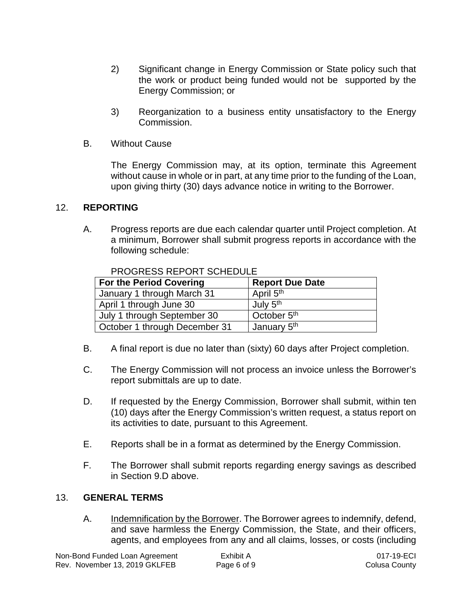- 2) Significant change in Energy Commission or State policy such that the work or product being funded would not be supported by the Energy Commission; or
- 3) Reorganization to a business entity unsatisfactory to the Energy Commission.
- B. Without Cause

The Energy Commission may, at its option, terminate this Agreement without cause in whole or in part, at any time prior to the funding of the Loan, upon giving thirty (30) days advance notice in writing to the Borrower.

## 12. **REPORTING**

A. Progress reports are due each calendar quarter until Project completion. At a minimum, Borrower shall submit progress reports in accordance with the following schedule:

| <b>For the Period Covering</b> | <b>Report Due Date</b>  |
|--------------------------------|-------------------------|
| January 1 through March 31     | April 5 <sup>th</sup>   |
| April 1 through June 30        | July 5 <sup>th</sup>    |
| July 1 through September 30    | October 5 <sup>th</sup> |
| October 1 through December 31  | January 5 <sup>th</sup> |

PROGRESS REPORT SCHEDULE

- B. A final report is due no later than (sixty) 60 days after Project completion.
- C. The Energy Commission will not process an invoice unless the Borrower's report submittals are up to date.
- D. If requested by the Energy Commission, Borrower shall submit, within ten (10) days after the Energy Commission's written request, a status report on its activities to date, pursuant to this Agreement.
- E. Reports shall be in a format as determined by the Energy Commission.
- F. The Borrower shall submit reports regarding energy savings as described in Section 9.D above.

#### 13. **GENERAL TERMS**

A. Indemnification by the Borrower. The Borrower agrees to indemnify, defend, and save harmless the Energy Commission, the State, and their officers, agents, and employees from any and all claims, losses, or costs (including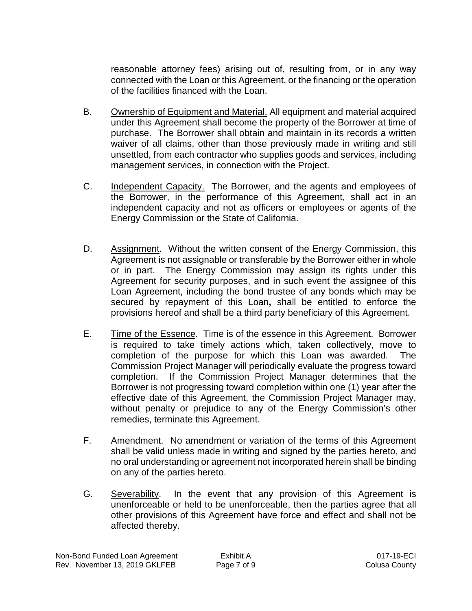reasonable attorney fees) arising out of, resulting from, or in any way connected with the Loan or this Agreement, or the financing or the operation of the facilities financed with the Loan.

- B. Ownership of Equipment and Material. All equipment and material acquired under this Agreement shall become the property of the Borrower at time of purchase. The Borrower shall obtain and maintain in its records a written waiver of all claims, other than those previously made in writing and still unsettled, from each contractor who supplies goods and services, including management services, in connection with the Project.
- C. Independent Capacity. The Borrower, and the agents and employees of the Borrower, in the performance of this Agreement, shall act in an independent capacity and not as officers or employees or agents of the Energy Commission or the State of California.
- D. Assignment. Without the written consent of the Energy Commission, this Agreement is not assignable or transferable by the Borrower either in whole or in part. The Energy Commission may assign its rights under this Agreement for security purposes, and in such event the assignee of this Loan Agreement, including the bond trustee of any bonds which may be secured by repayment of this Loan**,** shall be entitled to enforce the provisions hereof and shall be a third party beneficiary of this Agreement.
- E. Time of the Essence. Time is of the essence in this Agreement. Borrower is required to take timely actions which, taken collectively, move to completion of the purpose for which this Loan was awarded. The Commission Project Manager will periodically evaluate the progress toward completion. If the Commission Project Manager determines that the Borrower is not progressing toward completion within one (1) year after the effective date of this Agreement, the Commission Project Manager may, without penalty or prejudice to any of the Energy Commission's other remedies, terminate this Agreement.
- F. Amendment. No amendment or variation of the terms of this Agreement shall be valid unless made in writing and signed by the parties hereto, and no oral understanding or agreement not incorporated herein shall be binding on any of the parties hereto.
- G. Severability. In the event that any provision of this Agreement is unenforceable or held to be unenforceable, then the parties agree that all other provisions of this Agreement have force and effect and shall not be affected thereby.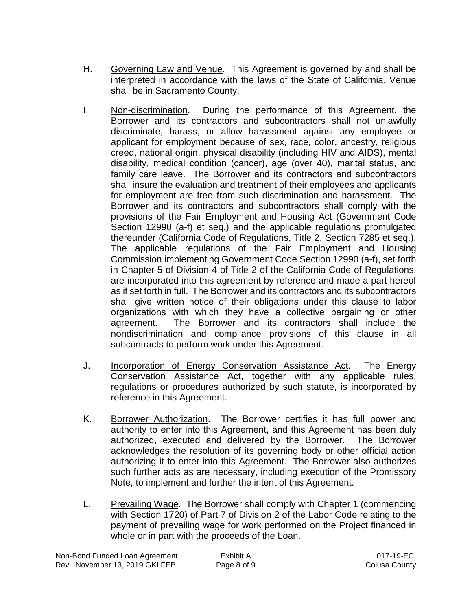- H. Governing Law and Venue. This Agreement is governed by and shall be interpreted in accordance with the laws of the State of California. Venue shall be in Sacramento County.
- I. Non-discrimination. During the performance of this Agreement, the Borrower and its contractors and subcontractors shall not unlawfully discriminate, harass, or allow harassment against any employee or applicant for employment because of sex, race, color, ancestry, religious creed, national origin, physical disability (including HIV and AIDS), mental disability, medical condition (cancer), age (over 40), marital status, and family care leave. The Borrower and its contractors and subcontractors shall insure the evaluation and treatment of their employees and applicants for employment are free from such discrimination and harassment. The Borrower and its contractors and subcontractors shall comply with the provisions of the Fair Employment and Housing Act (Government Code Section 12990 (a-f) et seq.) and the applicable regulations promulgated thereunder (California Code of Regulations, Title 2, Section 7285 et seq.). The applicable regulations of the Fair Employment and Housing Commission implementing Government Code Section 12990 (a-f), set forth in Chapter 5 of Division 4 of Title 2 of the California Code of Regulations, are incorporated into this agreement by reference and made a part hereof as if set forth in full. The Borrower and its contractors and its subcontractors shall give written notice of their obligations under this clause to labor organizations with which they have a collective bargaining or other agreement. The Borrower and its contractors shall include the nondiscrimination and compliance provisions of this clause in all subcontracts to perform work under this Agreement.
- J. Incorporation of Energy Conservation Assistance Act. The Energy Conservation Assistance Act, together with any applicable rules, regulations or procedures authorized by such statute, is incorporated by reference in this Agreement.
- K. Borrower Authorization. The Borrower certifies it has full power and authority to enter into this Agreement, and this Agreement has been duly authorized, executed and delivered by the Borrower. The Borrower acknowledges the resolution of its governing body or other official action authorizing it to enter into this Agreement. The Borrower also authorizes such further acts as are necessary, including execution of the Promissory Note, to implement and further the intent of this Agreement.
- L. Prevailing Wage. The Borrower shall comply with Chapter 1 (commencing with Section 1720) of Part 7 of Division 2 of the Labor Code relating to the payment of prevailing wage for work performed on the Project financed in whole or in part with the proceeds of the Loan.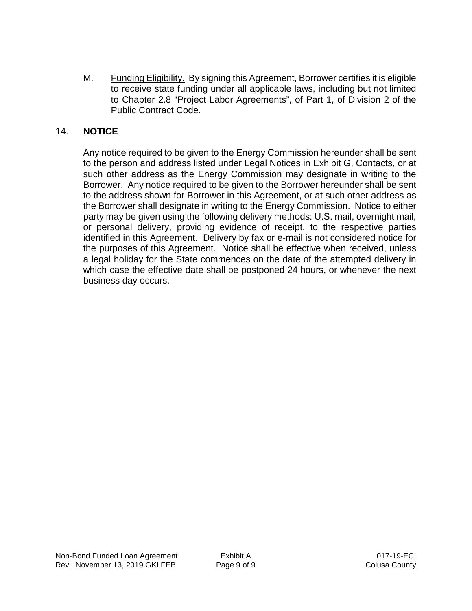M. Funding Eligibility. By signing this Agreement, Borrower certifies it is eligible to receive state funding under all applicable laws, including but not limited to Chapter 2.8 "Project Labor Agreements", of Part 1, of Division 2 of the Public Contract Code.

## 14. **NOTICE**

Any notice required to be given to the Energy Commission hereunder shall be sent to the person and address listed under Legal Notices in Exhibit G, Contacts, or at such other address as the Energy Commission may designate in writing to the Borrower. Any notice required to be given to the Borrower hereunder shall be sent to the address shown for Borrower in this Agreement, or at such other address as the Borrower shall designate in writing to the Energy Commission. Notice to either party may be given using the following delivery methods: U.S. mail, overnight mail, or personal delivery, providing evidence of receipt, to the respective parties identified in this Agreement. Delivery by fax or e-mail is not considered notice for the purposes of this Agreement. Notice shall be effective when received, unless a legal holiday for the State commences on the date of the attempted delivery in which case the effective date shall be postponed 24 hours, or whenever the next business day occurs.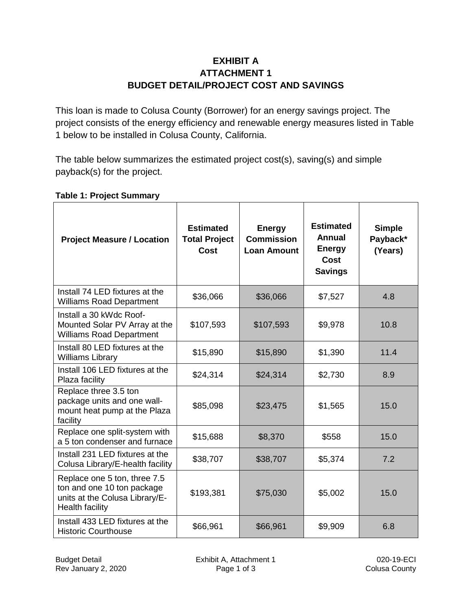# **EXHIBIT A ATTACHMENT 1 BUDGET DETAIL/PROJECT COST AND SAVINGS**

This loan is made to Colusa County (Borrower) for an energy savings project. The project consists of the energy efficiency and renewable energy measures listed in Table 1 below to be installed in Colusa County, California.

The table below summarizes the estimated project cost(s), saving(s) and simple payback(s) for the project.

| <b>Project Measure / Location</b>                                                                                      | <b>Estimated</b><br><b>Total Project</b><br><b>Cost</b> | <b>Energy</b><br><b>Commission</b><br><b>Loan Amount</b> | <b>Estimated</b><br>Annual<br><b>Energy</b><br>Cost<br><b>Savings</b> | <b>Simple</b><br>Payback*<br>(Years) |
|------------------------------------------------------------------------------------------------------------------------|---------------------------------------------------------|----------------------------------------------------------|-----------------------------------------------------------------------|--------------------------------------|
| Install 74 LED fixtures at the<br><b>Williams Road Department</b>                                                      | \$36,066                                                | \$36,066                                                 | \$7,527                                                               | 4.8                                  |
| Install a 30 kWdc Roof-<br>Mounted Solar PV Array at the<br><b>Williams Road Department</b>                            | \$107,593                                               | \$107,593                                                | \$9,978                                                               | 10.8                                 |
| Install 80 LED fixtures at the<br><b>Williams Library</b>                                                              | \$15,890                                                | \$15,890                                                 | \$1,390                                                               | 11.4                                 |
| Install 106 LED fixtures at the<br>Plaza facility                                                                      | \$24,314                                                | \$24,314                                                 | \$2,730                                                               | 8.9                                  |
| Replace three 3.5 ton<br>package units and one wall-<br>mount heat pump at the Plaza<br>facility                       | \$85,098                                                | \$23,475                                                 | \$1,565                                                               | 15.0                                 |
| Replace one split-system with<br>a 5 ton condenser and furnace                                                         | \$15,688                                                | \$8,370                                                  | \$558                                                                 | 15.0                                 |
| Install 231 LED fixtures at the<br>Colusa Library/E-health facility                                                    | \$38,707                                                | \$38,707                                                 | \$5,374                                                               | 7.2                                  |
| Replace one 5 ton, three 7.5<br>ton and one 10 ton package<br>units at the Colusa Library/E-<br><b>Health facility</b> | \$193,381                                               | \$75,030                                                 | \$5,002                                                               | 15.0                                 |
| Install 433 LED fixtures at the<br><b>Historic Courthouse</b>                                                          | \$66,961                                                | \$66,961                                                 | \$9,909                                                               | 6.8                                  |

## **Table 1: Project Summary**

Rev January 2, 2020

Budget Detail **Exhibit A, Attachment 1** 020-19-ECI<br>Rev January 2, 2020 **Exhibit A, Attachment 1** 020-19-ECI<br>Page 1 of 3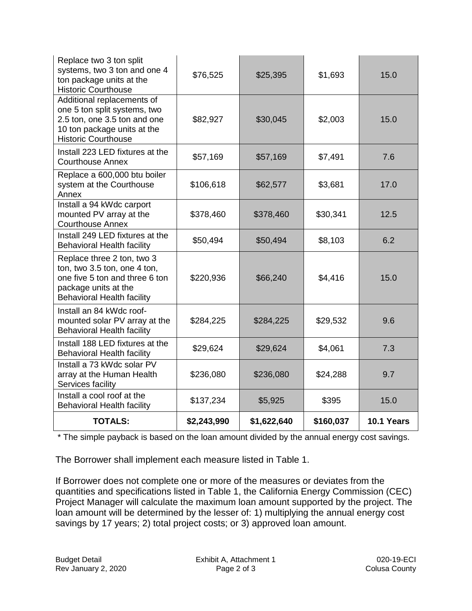| Replace two 3 ton split<br>systems, two 3 ton and one 4<br>ton package units at the<br><b>Historic Courthouse</b>                                         | \$76,525    | \$25,395    | \$1,693   | 15.0       |
|-----------------------------------------------------------------------------------------------------------------------------------------------------------|-------------|-------------|-----------|------------|
| Additional replacements of<br>one 5 ton split systems, two<br>2.5 ton, one 3.5 ton and one<br>10 ton package units at the<br><b>Historic Courthouse</b>   | \$82,927    | \$30,045    | \$2,003   | 15.0       |
| Install 223 LED fixtures at the<br><b>Courthouse Annex</b>                                                                                                | \$57,169    | \$57,169    | \$7,491   | 7.6        |
| Replace a 600,000 btu boiler<br>system at the Courthouse<br>Annex                                                                                         | \$106,618   | \$62,577    | \$3,681   | 17.0       |
| Install a 94 kWdc carport<br>mounted PV array at the<br><b>Courthouse Annex</b>                                                                           | \$378,460   | \$378,460   | \$30,341  | 12.5       |
| Install 249 LED fixtures at the<br><b>Behavioral Health facility</b>                                                                                      | \$50,494    | \$50,494    | \$8,103   | 6.2        |
| Replace three 2 ton, two 3<br>ton, two 3.5 ton, one 4 ton,<br>one five 5 ton and three 6 ton<br>package units at the<br><b>Behavioral Health facility</b> | \$220,936   | \$66,240    | \$4,416   | 15.0       |
| Install an 84 kWdc roof-<br>mounted solar PV array at the<br><b>Behavioral Health facility</b>                                                            | \$284,225   | \$284,225   | \$29,532  | 9.6        |
| Install 188 LED fixtures at the<br><b>Behavioral Health facility</b>                                                                                      | \$29,624    | \$29,624    | \$4,061   | 7.3        |
| Install a 73 kWdc solar PV<br>array at the Human Health<br>Services facility                                                                              | \$236,080   | \$236,080   | \$24,288  | 9.7        |
| Install a cool roof at the<br><b>Behavioral Health facility</b>                                                                                           | \$137,234   | \$5,925     | \$395     | 15.0       |
| <b>TOTALS:</b>                                                                                                                                            | \$2,243,990 | \$1,622,640 | \$160,037 | 10.1 Years |

\* The simple payback is based on the loan amount divided by the annual energy cost savings.

The Borrower shall implement each measure listed in Table 1.

If Borrower does not complete one or more of the measures or deviates from the quantities and specifications listed in Table 1, the California Energy Commission (CEC) Project Manager will calculate the maximum loan amount supported by the project. The loan amount will be determined by the lesser of: 1) multiplying the annual energy cost savings by 17 years; 2) total project costs; or 3) approved loan amount.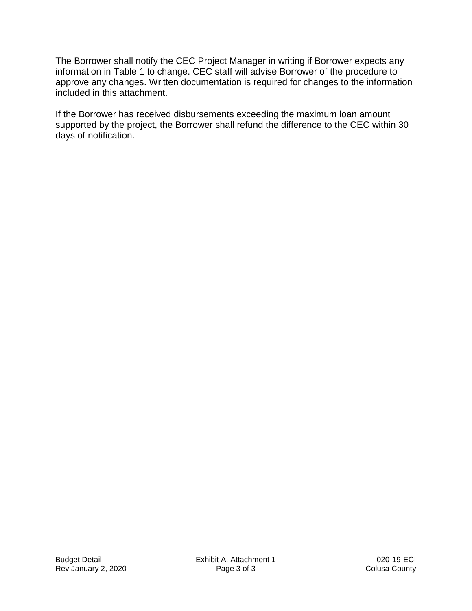The Borrower shall notify the CEC Project Manager in writing if Borrower expects any information in Table 1 to change. CEC staff will advise Borrower of the procedure to approve any changes. Written documentation is required for changes to the information included in this attachment.

If the Borrower has received disbursements exceeding the maximum loan amount supported by the project, the Borrower shall refund the difference to the CEC within 30 days of notification.